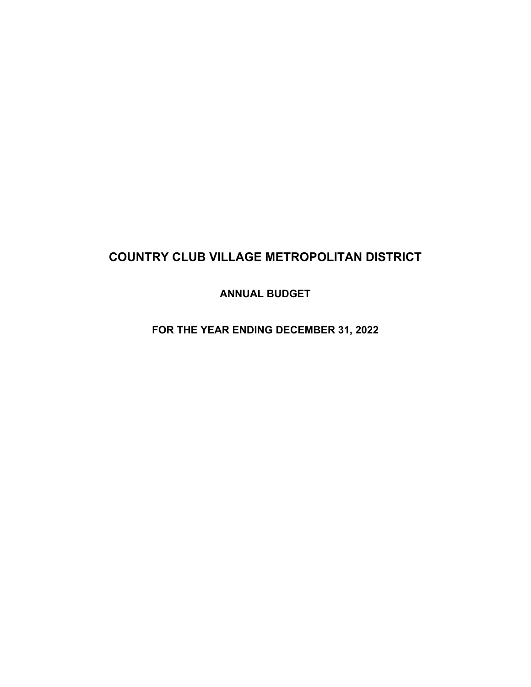# **COUNTRY CLUB VILLAGE METROPOLITAN DISTRICT**

**ANNUAL BUDGET** 

**FOR THE YEAR ENDING DECEMBER 31, 2022**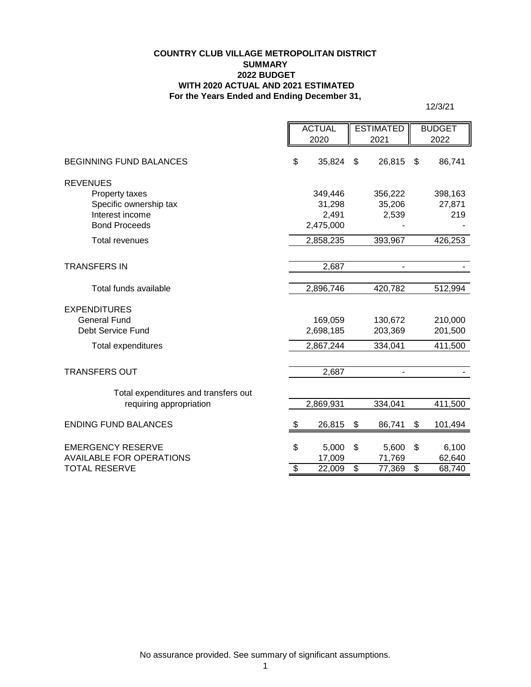#### **COUNTRY CLUB VILLAGE METROPOLITAN DISTRICT SUMMARY 2022 BUDGET WITH 2020 ACTUAL AND 2021 ESTIMATED For the Years Ended and Ending December 31,**

12/3/21

|                                                             |                          | <b>ACTUAL</b>    |                          | <b>ESTIMATED</b>         |                         | <b>BUDGET</b>    |
|-------------------------------------------------------------|--------------------------|------------------|--------------------------|--------------------------|-------------------------|------------------|
|                                                             |                          | 2020             |                          | 2021                     |                         | 2022             |
| <b>BEGINNING FUND BALANCES</b>                              | \$                       | 35,824           | \$                       | 26,815                   | \$                      | 86,741           |
| <b>REVENUES</b>                                             |                          |                  |                          |                          |                         |                  |
| Property taxes                                              |                          | 349,446          |                          | 356,222                  |                         | 398,163          |
| Specific ownership tax                                      |                          | 31,298           |                          | 35,206                   |                         | 27,871           |
| Interest income                                             |                          | 2,491            |                          | 2,539                    |                         | 219              |
| <b>Bond Proceeds</b>                                        |                          | 2,475,000        |                          |                          |                         |                  |
| <b>Total revenues</b>                                       |                          | 2,858,235        |                          | 393,967                  |                         | 426,253          |
|                                                             |                          |                  |                          |                          |                         |                  |
| <b>TRANSFERS IN</b>                                         |                          | 2,687            |                          | $\blacksquare$           |                         |                  |
|                                                             |                          |                  |                          |                          |                         |                  |
| Total funds available                                       |                          | 2,896,746        |                          | 420,782                  |                         | 512,994          |
| <b>EXPENDITURES</b>                                         |                          |                  |                          |                          |                         |                  |
| <b>General Fund</b>                                         |                          | 169,059          |                          | 130,672                  |                         | 210,000          |
| Debt Service Fund                                           |                          | 2,698,185        |                          | 203,369                  |                         | 201,500          |
| Total expenditures                                          |                          | 2,867,244        |                          | 334,041                  |                         | 411,500          |
|                                                             |                          |                  |                          |                          |                         |                  |
| <b>TRANSFERS OUT</b>                                        |                          | 2,687            |                          | $\overline{\phantom{a}}$ |                         |                  |
| Total expenditures and transfers out                        |                          |                  |                          |                          |                         |                  |
| requiring appropriation                                     |                          | 2,869,931        |                          | 334,041                  |                         | 411,500          |
| <b>ENDING FUND BALANCES</b>                                 | æ.                       | 26,815           | \$                       | 86,741                   | \$                      | 101,494          |
|                                                             |                          |                  |                          |                          |                         |                  |
| <b>EMERGENCY RESERVE</b><br><b>AVAILABLE FOR OPERATIONS</b> | \$                       | 5,000            | \$                       | 5,600                    | \$                      | 6,100            |
| TOTAL RESERVE                                               | $\overline{\mathcal{S}}$ | 17,009<br>22,009 | $\overline{\mathcal{S}}$ | 71,769<br>77,369         | $\overline{\mathbf{S}}$ | 62,640<br>68,740 |
|                                                             |                          |                  |                          |                          |                         |                  |

No assurance provided. See summary of significant assumptions.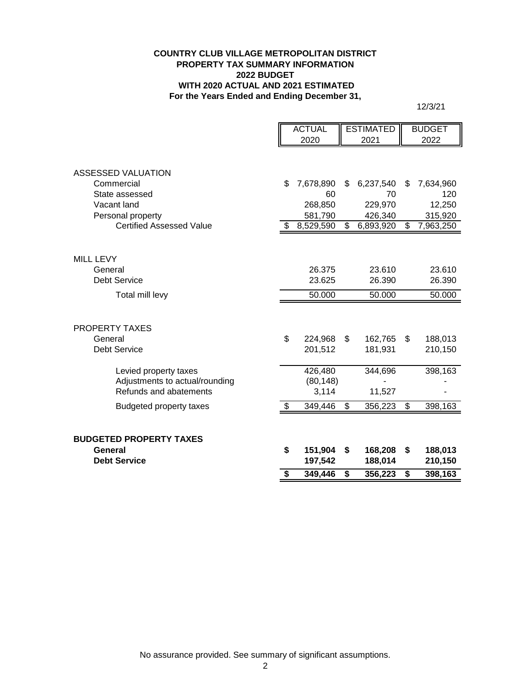#### **COUNTRY CLUB VILLAGE METROPOLITAN DISTRICT PROPERTY TAX SUMMARY INFORMATION 2022 BUDGET WITH 2020 ACTUAL AND 2021 ESTIMATED For the Years Ended and Ending December 31,**

12/3/21

|                                 | <b>ACTUAL</b> |           | <b>ESTIMATED</b> |           | <b>BUDGET</b>            |           |
|---------------------------------|---------------|-----------|------------------|-----------|--------------------------|-----------|
|                                 |               | 2020      |                  | 2021      |                          | 2022      |
|                                 |               |           |                  |           |                          |           |
|                                 |               |           |                  |           |                          |           |
| <b>ASSESSED VALUATION</b>       |               |           |                  |           |                          |           |
| Commercial                      | \$            | 7,678,890 | \$               | 6,237,540 | \$                       | 7,634,960 |
| State assessed                  |               | 60        |                  | 70        |                          | 120       |
| Vacant land                     |               | 268,850   |                  | 229,970   |                          | 12,250    |
| Personal property               |               | 581,790   |                  | 426,340   |                          | 315,920   |
| <b>Certified Assessed Value</b> | \$            | 8,529,590 | \$               | 6,893,920 | \$                       | 7,963,250 |
|                                 |               |           |                  |           |                          |           |
| <b>MILL LEVY</b>                |               |           |                  |           |                          |           |
| General                         |               | 26.375    |                  | 23.610    |                          | 23.610    |
| <b>Debt Service</b>             |               | 23.625    |                  | 26.390    |                          | 26.390    |
|                                 |               |           |                  |           |                          |           |
| Total mill levy                 |               | 50.000    |                  | 50.000    |                          | 50.000    |
|                                 |               |           |                  |           |                          |           |
| PROPERTY TAXES                  |               |           |                  |           |                          |           |
| General                         | \$            | 224,968   | \$               | 162,765   | \$                       | 188,013   |
| <b>Debt Service</b>             |               | 201,512   |                  | 181,931   |                          | 210,150   |
|                                 |               |           |                  |           |                          |           |
| Levied property taxes           |               | 426,480   |                  | 344,696   |                          | 398,163   |
| Adjustments to actual/rounding  |               | (80, 148) |                  |           |                          |           |
| Refunds and abatements          |               | 3,114     |                  | 11,527    |                          |           |
| <b>Budgeted property taxes</b>  | \$            | 349,446   | \$               | 356,223   | $\overline{\mathcal{G}}$ | 398,163   |
|                                 |               |           |                  |           |                          |           |
|                                 |               |           |                  |           |                          |           |
| <b>BUDGETED PROPERTY TAXES</b>  |               |           |                  |           |                          |           |
| General                         | \$            | 151,904   | \$               | 168,208   | \$                       | 188,013   |
| <b>Debt Service</b>             |               | 197,542   |                  | 188,014   |                          | 210,150   |
|                                 | \$            | 349,446   | \$               | 356,223   | \$                       | 398,163   |

No assurance provided. See summary of significant assumptions.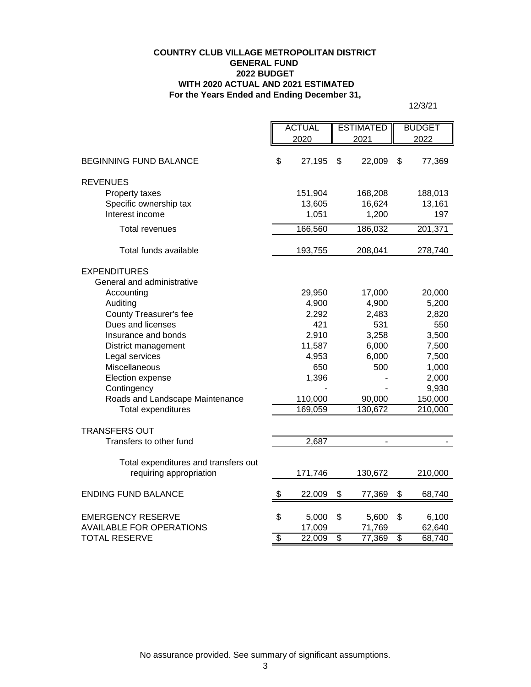#### **For the Years Ended and Ending December 31, COUNTRY CLUB VILLAGE METROPOLITAN DISTRICT GENERAL FUND 2022 BUDGET WITH 2020 ACTUAL AND 2021 ESTIMATED**

12/3/21

|                                      | <b>ACTUAL</b>   |         | <b>ESTIMATED</b> |         | <b>BUDGET</b>   |         |
|--------------------------------------|-----------------|---------|------------------|---------|-----------------|---------|
|                                      | 2020            |         | 2021             |         |                 | 2022    |
|                                      |                 |         |                  |         |                 |         |
| <b>BEGINNING FUND BALANCE</b>        | \$              | 27,195  | \$               | 22,009  | \$              | 77,369  |
|                                      |                 |         |                  |         |                 |         |
| <b>REVENUES</b>                      |                 |         |                  |         |                 |         |
| Property taxes                       |                 | 151,904 |                  | 168,208 |                 | 188,013 |
| Specific ownership tax               |                 | 13,605  |                  | 16,624  |                 | 13,161  |
| Interest income                      |                 | 1,051   |                  | 1,200   |                 | 197     |
| <b>Total revenues</b>                |                 | 166,560 |                  | 186,032 |                 | 201,371 |
|                                      |                 |         |                  |         |                 |         |
| Total funds available                |                 | 193,755 |                  | 208,041 |                 | 278,740 |
| <b>EXPENDITURES</b>                  |                 |         |                  |         |                 |         |
| General and administrative           |                 |         |                  |         |                 |         |
| Accounting                           |                 | 29,950  |                  | 17,000  |                 | 20,000  |
| Auditing                             |                 | 4,900   |                  | 4,900   |                 | 5,200   |
| <b>County Treasurer's fee</b>        |                 | 2,292   |                  | 2,483   |                 | 2,820   |
| Dues and licenses                    |                 | 421     |                  | 531     |                 | 550     |
| Insurance and bonds                  |                 | 2,910   |                  | 3,258   |                 | 3,500   |
| District management                  |                 | 11,587  |                  | 6,000   |                 | 7,500   |
| Legal services                       |                 | 4,953   |                  | 6,000   |                 | 7,500   |
| Miscellaneous                        |                 | 650     |                  | 500     |                 | 1,000   |
| Election expense                     |                 | 1,396   |                  |         |                 | 2,000   |
| Contingency                          |                 |         |                  |         |                 | 9,930   |
| Roads and Landscape Maintenance      |                 | 110,000 |                  | 90,000  |                 | 150,000 |
| <b>Total expenditures</b>            |                 | 169,059 |                  | 130,672 |                 | 210,000 |
|                                      |                 |         |                  |         |                 |         |
| <b>TRANSFERS OUT</b>                 |                 |         |                  |         |                 |         |
| Transfers to other fund              |                 | 2,687   |                  | ÷,      |                 |         |
|                                      |                 |         |                  |         |                 |         |
| Total expenditures and transfers out |                 |         |                  |         |                 |         |
| requiring appropriation              |                 | 171,746 |                  | 130,672 |                 | 210,000 |
|                                      |                 |         |                  |         |                 |         |
| <b>ENDING FUND BALANCE</b>           | \$              | 22,009  | \$               | 77,369  | \$              | 68,740  |
| <b>EMERGENCY RESERVE</b>             | \$              | 5,000   | \$               | 5,600   | \$              | 6,100   |
| <b>AVAILABLE FOR OPERATIONS</b>      |                 | 17,009  |                  | 71,769  |                 | 62,640  |
| <b>TOTAL RESERVE</b>                 | $\overline{\$}$ | 22,009  | \$               | 77,369  | $\overline{\$}$ | 68,740  |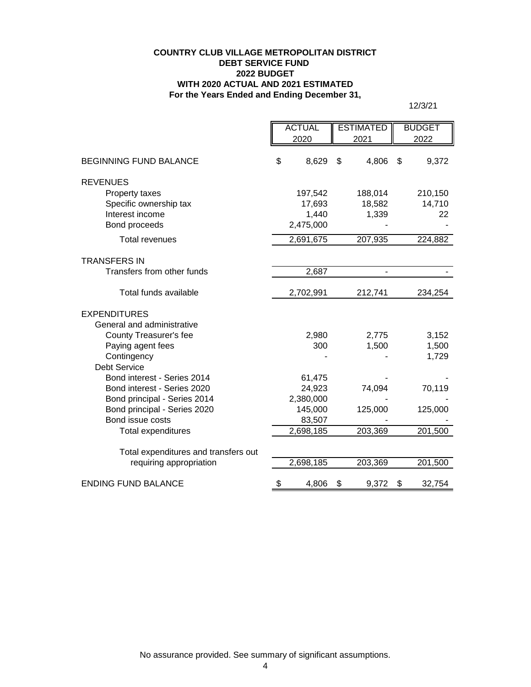#### **COUNTRY CLUB VILLAGE METROPOLITAN DISTRICT DEBT SERVICE FUND 2022 BUDGET WITH 2020 ACTUAL AND 2021 ESTIMATED For the Years Ended and Ending December 31,**

12/3/21

|                                      | <b>ACTUAL</b><br><b>ESTIMATED</b> |           | <b>BUDGET</b> |                |    |         |
|--------------------------------------|-----------------------------------|-----------|---------------|----------------|----|---------|
|                                      |                                   | 2020      |               | 2021           |    | 2022    |
| <b>BEGINNING FUND BALANCE</b>        | \$                                | 8,629     | \$            | 4,806          | \$ | 9,372   |
| <b>REVENUES</b>                      |                                   |           |               |                |    |         |
| Property taxes                       |                                   | 197,542   |               | 188,014        |    | 210,150 |
| Specific ownership tax               |                                   | 17,693    |               | 18,582         |    | 14,710  |
| Interest income                      |                                   | 1,440     |               | 1,339          |    | 22      |
| Bond proceeds                        |                                   | 2,475,000 |               |                |    |         |
| <b>Total revenues</b>                |                                   | 2,691,675 |               | 207,935        |    | 224,882 |
| <b>TRANSFERS IN</b>                  |                                   |           |               |                |    |         |
| Transfers from other funds           |                                   | 2,687     |               | $\blacksquare$ |    |         |
| Total funds available                |                                   | 2,702,991 |               | 212,741        |    | 234,254 |
| <b>EXPENDITURES</b>                  |                                   |           |               |                |    |         |
| General and administrative           |                                   |           |               |                |    |         |
| County Treasurer's fee               |                                   | 2,980     |               | 2,775          |    | 3,152   |
| Paying agent fees                    |                                   | 300       |               | 1,500          |    | 1,500   |
| Contingency                          |                                   |           |               |                |    | 1,729   |
| <b>Debt Service</b>                  |                                   |           |               |                |    |         |
| Bond interest - Series 2014          |                                   | 61,475    |               |                |    |         |
| Bond interest - Series 2020          |                                   | 24,923    |               | 74,094         |    | 70,119  |
| Bond principal - Series 2014         |                                   | 2,380,000 |               |                |    |         |
| Bond principal - Series 2020         |                                   | 145,000   |               | 125,000        |    | 125,000 |
| Bond issue costs                     |                                   | 83,507    |               |                |    |         |
| <b>Total expenditures</b>            |                                   | 2,698,185 |               | 203,369        |    | 201,500 |
| Total expenditures and transfers out |                                   |           |               |                |    |         |
| requiring appropriation              |                                   | 2,698,185 |               | 203,369        |    | 201,500 |
| <b>ENDING FUND BALANCE</b>           | \$                                | 4,806     | \$            | 9,372          | \$ | 32,754  |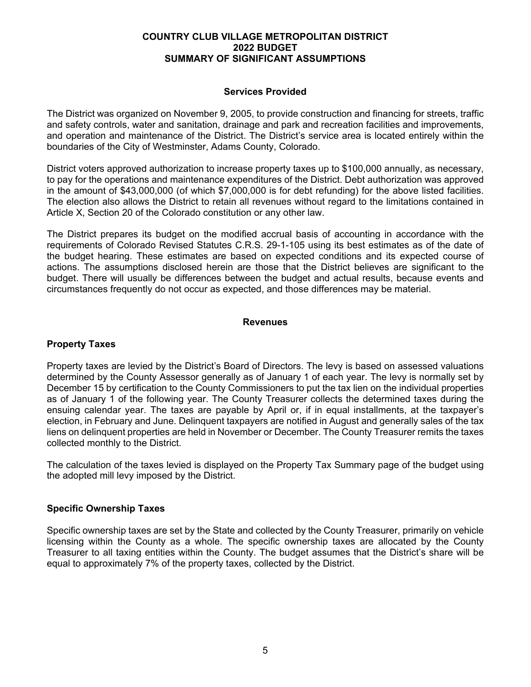#### **COUNTRY CLUB VILLAGE METROPOLITAN DISTRICT 2022 BUDGET SUMMARY OF SIGNIFICANT ASSUMPTIONS**

## **Services Provided**

The District was organized on November 9, 2005, to provide construction and financing for streets, traffic and safety controls, water and sanitation, drainage and park and recreation facilities and improvements, and operation and maintenance of the District. The District's service area is located entirely within the boundaries of the City of Westminster, Adams County, Colorado.

District voters approved authorization to increase property taxes up to \$100,000 annually, as necessary, to pay for the operations and maintenance expenditures of the District. Debt authorization was approved in the amount of \$43,000,000 (of which \$7,000,000 is for debt refunding) for the above listed facilities. The election also allows the District to retain all revenues without regard to the limitations contained in Article X, Section 20 of the Colorado constitution or any other law.

The District prepares its budget on the modified accrual basis of accounting in accordance with the requirements of Colorado Revised Statutes C.R.S. 29-1-105 using its best estimates as of the date of the budget hearing. These estimates are based on expected conditions and its expected course of actions. The assumptions disclosed herein are those that the District believes are significant to the budget. There will usually be differences between the budget and actual results, because events and circumstances frequently do not occur as expected, and those differences may be material.

## **Revenues**

#### **Property Taxes**

Property taxes are levied by the District's Board of Directors. The levy is based on assessed valuations determined by the County Assessor generally as of January 1 of each year. The levy is normally set by December 15 by certification to the County Commissioners to put the tax lien on the individual properties as of January 1 of the following year. The County Treasurer collects the determined taxes during the ensuing calendar year. The taxes are payable by April or, if in equal installments, at the taxpayer's election, in February and June. Delinquent taxpayers are notified in August and generally sales of the tax liens on delinquent properties are held in November or December. The County Treasurer remits the taxes collected monthly to the District.

The calculation of the taxes levied is displayed on the Property Tax Summary page of the budget using the adopted mill levy imposed by the District.

#### **Specific Ownership Taxes**

Specific ownership taxes are set by the State and collected by the County Treasurer, primarily on vehicle licensing within the County as a whole. The specific ownership taxes are allocated by the County Treasurer to all taxing entities within the County. The budget assumes that the District's share will be equal to approximately 7% of the property taxes, collected by the District.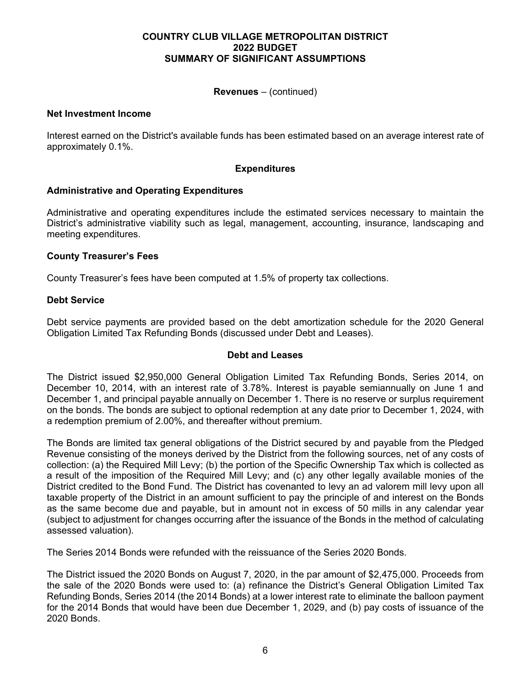#### **COUNTRY CLUB VILLAGE METROPOLITAN DISTRICT 2022 BUDGET SUMMARY OF SIGNIFICANT ASSUMPTIONS**

## **Revenues** – (continued)

#### **Net Investment Income**

Interest earned on the District's available funds has been estimated based on an average interest rate of approximately 0.1%.

## **Expenditures**

## **Administrative and Operating Expenditures**

Administrative and operating expenditures include the estimated services necessary to maintain the District's administrative viability such as legal, management, accounting, insurance, landscaping and meeting expenditures.

## **County Treasurer's Fees**

County Treasurer's fees have been computed at 1.5% of property tax collections.

## **Debt Service**

Debt service payments are provided based on the debt amortization schedule for the 2020 General Obligation Limited Tax Refunding Bonds (discussed under Debt and Leases).

#### **Debt and Leases**

The District issued \$2,950,000 General Obligation Limited Tax Refunding Bonds, Series 2014, on December 10, 2014, with an interest rate of 3.78%. Interest is payable semiannually on June 1 and December 1, and principal payable annually on December 1. There is no reserve or surplus requirement on the bonds. The bonds are subject to optional redemption at any date prior to December 1, 2024, with a redemption premium of 2.00%, and thereafter without premium.

The Bonds are limited tax general obligations of the District secured by and payable from the Pledged Revenue consisting of the moneys derived by the District from the following sources, net of any costs of collection: (a) the Required Mill Levy; (b) the portion of the Specific Ownership Tax which is collected as a result of the imposition of the Required Mill Levy; and (c) any other legally available monies of the District credited to the Bond Fund. The District has covenanted to levy an ad valorem mill levy upon all taxable property of the District in an amount sufficient to pay the principle of and interest on the Bonds as the same become due and payable, but in amount not in excess of 50 mills in any calendar year (subject to adjustment for changes occurring after the issuance of the Bonds in the method of calculating assessed valuation).

The Series 2014 Bonds were refunded with the reissuance of the Series 2020 Bonds.

The District issued the 2020 Bonds on August 7, 2020, in the par amount of \$2,475,000. Proceeds from the sale of the 2020 Bonds were used to: (a) refinance the District's General Obligation Limited Tax Refunding Bonds, Series 2014 (the 2014 Bonds) at a lower interest rate to eliminate the balloon payment for the 2014 Bonds that would have been due December 1, 2029, and (b) pay costs of issuance of the 2020 Bonds.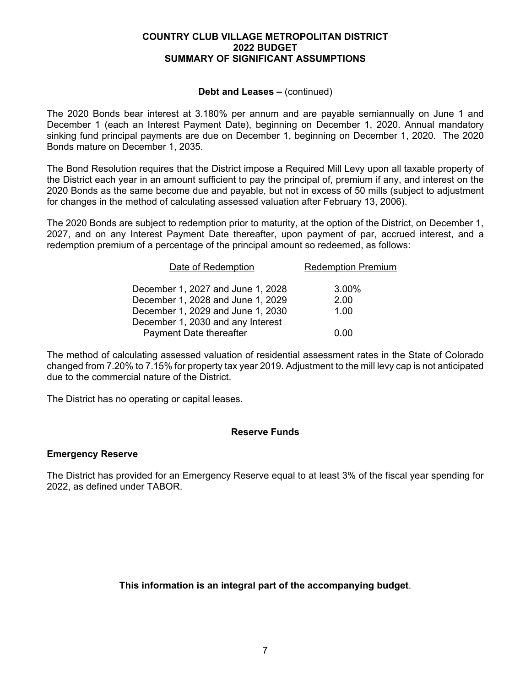#### **COUNTRY CLUB VILLAGE METROPOLITAN DISTRICT 2022 BUDGET SUMMARY OF SIGNIFICANT ASSUMPTIONS**

#### **Debt and Leases –** (continued)

The 2020 Bonds bear interest at 3.180% per annum and are payable semiannually on June 1 and December 1 (each an Interest Payment Date), beginning on December 1, 2020. Annual mandatory sinking fund principal payments are due on December 1, beginning on December 1, 2020. The 2020 Bonds mature on December 1, 2035.

The Bond Resolution requires that the District impose a Required Mill Levy upon all taxable property of the District each year in an amount sufficient to pay the principal of, premium if any, and interest on the 2020 Bonds as the same become due and payable, but not in excess of 50 mills (subject to adjustment for changes in the method of calculating assessed valuation after February 13, 2006).

The 2020 Bonds are subject to redemption prior to maturity, at the option of the District, on December 1, 2027, and on any Interest Payment Date thereafter, upon payment of par, accrued interest, and a redemption premium of a percentage of the principal amount so redeemed, as follows:

| Date of Redemption                | <b>Redemption Premium</b> |
|-----------------------------------|---------------------------|
| December 1, 2027 and June 1, 2028 | 3.00%                     |
| December 1, 2028 and June 1, 2029 | 2.00                      |
| December 1, 2029 and June 1, 2030 | 1.00                      |
| December 1, 2030 and any Interest |                           |
| Payment Date thereafter           | ი იი                      |

The method of calculating assessed valuation of residential assessment rates in the State of Colorado changed from 7.20% to 7.15% for property tax year 2019. Adjustment to the mill levy cap is not anticipated due to the commercial nature of the District.

The District has no operating or capital leases.

# **Reserve Funds**

# **Emergency Reserve**

The District has provided for an Emergency Reserve equal to at least 3% of the fiscal year spending for 2022, as defined under TABOR.

**This information is an integral part of the accompanying budget**.